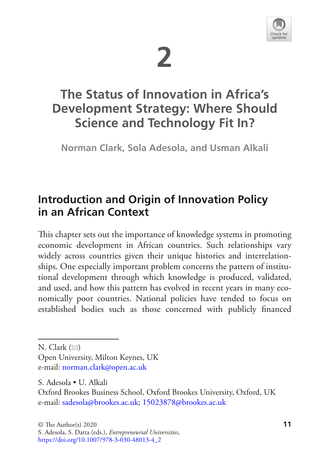# **2**



# **The Status of Innovation in Africa's Development Strategy: Where Should Science and Technology Fit In?**

**Norman Clark, Sola Adesola, and Usman Alkali**

# **Introduction and Origin of Innovation Policy in an African Context**

This chapter sets out the importance of knowledge systems in promoting economic development in African countries. Such relationships vary widely across countries given their unique histories and interrelationships. One especially important problem concerns the pattern of institutional development through which knowledge is produced, validated, and used, and how this pattern has evolved in recent years in many economically poor countries. National policies have tended to focus on established bodies such as those concerned with publicly financed

Open University, Milton Keynes, UK e-mail[: norman.clark@open.ac.uk](mailto:norman.clark@open.ac.uk)

S. Adesola • U. Alkali

N. Clark  $(\boxtimes)$ 

Oxford Brookes Business School, Oxford Brookes University, Oxford, UK e-mail[: sadesola@brookes.ac.uk](mailto:sadesola@brookes.ac.uk)[; 15023878@brookes.ac.uk](mailto:15023878@brookes.ac.uk)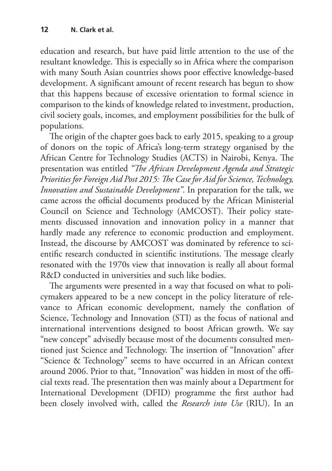education and research, but have paid little attention to the use of the resultant knowledge. This is especially so in Africa where the comparison with many South Asian countries shows poor effective knowledge-based development. A significant amount of recent research has begun to show that this happens because of excessive orientation to formal science in comparison to the kinds of knowledge related to investment, production, civil society goals, incomes, and employment possibilities for the bulk of populations.

The origin of the chapter goes back to early 2015, speaking to a group of donors on the topic of Africa's long-term strategy organised by the African Centre for Technology Studies (ACTS) in Nairobi, Kenya. The presentation was entitled *"The African Development Agenda and Strategic Priorities for Foreign Aid Post 2015: The Case for Aid for Science, Technology, Innovation and Sustainable Development"*. In preparation for the talk, we came across the official documents produced by the African Ministerial Council on Science and Technology (AMCOST). Their policy statements discussed innovation and innovation policy in a manner that hardly made any reference to economic production and employment. Instead, the discourse by AMCOST was dominated by reference to scientific research conducted in scientific institutions. The message clearly resonated with the 1970s view that innovation is really all about formal R&D conducted in universities and such like bodies.

The arguments were presented in a way that focused on what to policymakers appeared to be a new concept in the policy literature of relevance to African economic development, namely the conflation of Science, Technology and Innovation (STI) as the focus of national and international interventions designed to boost African growth. We say "new concept" advisedly because most of the documents consulted mentioned just Science and Technology. The insertion of "Innovation" after "Science & Technology" seems to have occurred in an African context around 2006. Prior to that, "Innovation" was hidden in most of the official texts read. The presentation then was mainly about a Department for International Development (DFID) programme the first author had been closely involved with, called the *Research into Use* (RIU). In an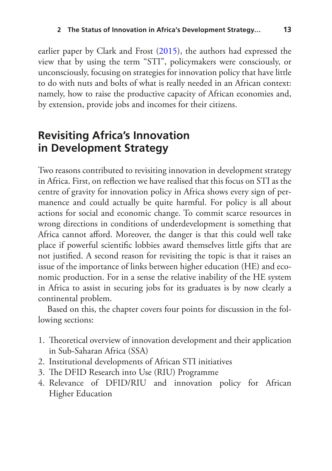earlier paper by Clark and Frost ([2015\)](#page-17-0), the authors had expressed the view that by using the term "STI", policymakers were consciously, or unconsciously, focusing on strategies for innovation policy that have little to do with nuts and bolts of what is really needed in an African context: namely, how to raise the productive capacity of African economies and, by extension, provide jobs and incomes for their citizens.

### **Revisiting Africa's Innovation in Development Strategy**

Two reasons contributed to revisiting innovation in development strategy in Africa. First, on reflection we have realised that this focus on STI as the centre of gravity for innovation policy in Africa shows every sign of permanence and could actually be quite harmful. For policy is all about actions for social and economic change. To commit scarce resources in wrong directions in conditions of underdevelopment is something that Africa cannot afford. Moreover, the danger is that this could well take place if powerful scientific lobbies award themselves little gifts that are not justified. A second reason for revisiting the topic is that it raises an issue of the importance of links between higher education (HE) and economic production. For in a sense the relative inability of the HE system in Africa to assist in securing jobs for its graduates is by now clearly a continental problem.

Based on this, the chapter covers four points for discussion in the following sections:

- 1. Theoretical overview of innovation development and their application in Sub-Saharan Africa (SSA)
- 2. Institutional developments of African STI initiatives
- 3. The DFID Research into Use (RIU) Programme
- 4. Relevance of DFID/RIU and innovation policy for African Higher Education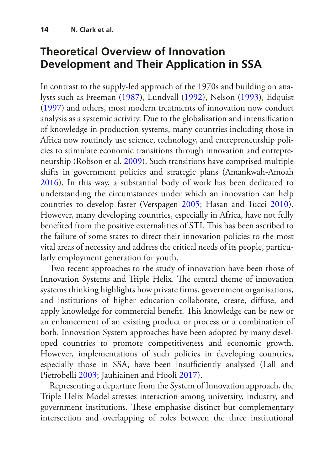## **Theoretical Overview of Innovation Development and Their Application in SSA**

In contrast to the supply-led approach of the 1970s and building on analysts such as Freeman ([1987\)](#page-18-0), Lundvall ([1992\)](#page-19-0), Nelson [\(1993](#page-19-1)), Edquist ([1997\)](#page-18-1) and others, most modern treatments of innovation now conduct analysis as a systemic activity. Due to the globalisation and intensification of knowledge in production systems, many countries including those in Africa now routinely use science, technology, and entrepreneurship policies to stimulate economic transitions through innovation and entrepreneurship (Robson et al. [2009\)](#page-19-2). Such transitions have comprised multiple shifts in government policies and strategic plans (Amankwah-Amoah [2016](#page-17-1)). In this way, a substantial body of work has been dedicated to understanding the circumstances under which an innovation can help countries to develop faster (Verspagen [2005;](#page-19-3) Hasan and Tucci [2010\)](#page-18-2). However, many developing countries, especially in Africa, have not fully benefited from the positive externalities of STI. This has been ascribed to the failure of some states to direct their innovation policies to the most vital areas of necessity and address the critical needs of its people, particularly employment generation for youth.

Two recent approaches to the study of innovation have been those of Innovation Systems and Triple Helix. The central theme of innovation systems thinking highlights how private firms, government organisations, and institutions of higher education collaborate, create, diffuse, and apply knowledge for commercial benefit. This knowledge can be new or an enhancement of an existing product or process or a combination of both. Innovation System approaches have been adopted by many developed countries to promote competitiveness and economic growth. However, implementations of such policies in developing countries, especially those in SSA, have been insufficiently analysed (Lall and Pietrobelli [2003](#page-19-4); Jauhiainen and Hooli [2017\)](#page-18-3).

Representing a departure from the System of Innovation approach, the Triple Helix Model stresses interaction among university, industry, and government institutions. These emphasise distinct but complementary intersection and overlapping of roles between the three institutional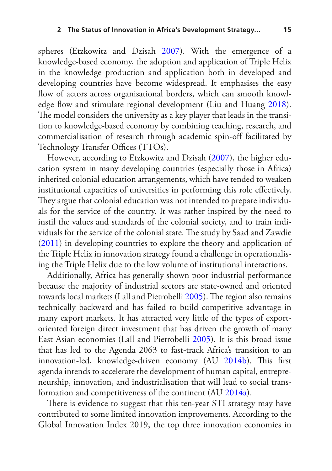spheres (Etzkowitz and Dzisah [2007](#page-18-4)). With the emergence of a knowledge-based economy, the adoption and application of Triple Helix in the knowledge production and application both in developed and developing countries have become widespread. It emphasises the easy flow of actors across organisational borders, which can smooth knowledge flow and stimulate regional development (Liu and Huang [2018\)](#page-19-5). The model considers the university as a key player that leads in the transition to knowledge-based economy by combining teaching, research, and commercialisation of research through academic spin-off facilitated by Technology Transfer Offices (TTOs).

However, according to Etzkowitz and Dzisah [\(2007](#page-18-4)), the higher education system in many developing countries (especially those in Africa) inherited colonial education arrangements, which have tended to weaken institutional capacities of universities in performing this role effectively. They argue that colonial education was not intended to prepare individuals for the service of the country. It was rather inspired by the need to instil the values and standards of the colonial society, and to train individuals for the service of the colonial state. The study by Saad and Zawdie ([2011\)](#page-19-6) in developing countries to explore the theory and application of the Triple Helix in innovation strategy found a challenge in operationalising the Triple Helix due to the low volume of institutional interactions.

Additionally, Africa has generally shown poor industrial performance because the majority of industrial sectors are state-owned and oriented towards local markets (Lall and Pietrobelli [2005\)](#page-19-7). The region also remains technically backward and has failed to build competitive advantage in many export markets. It has attracted very little of the types of exportoriented foreign direct investment that has driven the growth of many East Asian economies (Lall and Pietrobelli [2005](#page-19-7)). It is this broad issue that has led to the Agenda 2063 to fast-track Africa's transition to an innovation-led, knowledge-driven economy (AU [2014b\)](#page-17-2). This first agenda intends to accelerate the development of human capital, entrepreneurship, innovation, and industrialisation that will lead to social transformation and competitiveness of the continent (AU [2014a](#page-17-3)).

There is evidence to suggest that this ten-year STI strategy may have contributed to some limited innovation improvements. According to the Global Innovation Index 2019, the top three innovation economies in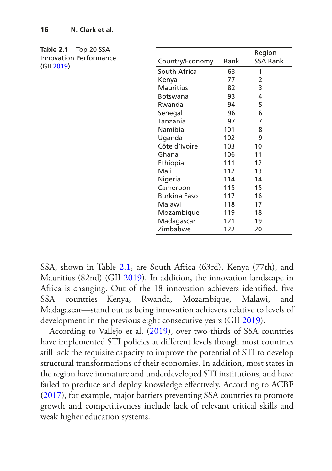<span id="page-5-0"></span>**Table 2.1** Top 20 SSA Innovation Performance (GII [2019\)](#page-18-5)

|                     |      | Region   |
|---------------------|------|----------|
| Country/Economy     | Rank | SSA Rank |
| South Africa        | 63   | 1        |
| Kenya               | 77   | 2        |
| <b>Mauritius</b>    | 82   | 3        |
| <b>Botswana</b>     | 93   | 4        |
| Rwanda              | 94   | 5        |
| Senegal             | 96   | 6        |
| Tanzania            | 97   | 7        |
| Namibia             | 101  | 8        |
| Uganda              | 102  | 9        |
| Côte d'Ivoire       | 103  | 10       |
| Ghana               | 106  | 11       |
| Ethiopia            | 111  | 12       |
| Mali                | 112  | 13       |
| Nigeria             | 114  | 14       |
| Cameroon            | 115  | 15       |
| <b>Burkina Faso</b> | 117  | 16       |
| Malawi              | 118  | 17       |
| Mozambique          | 119  | 18       |
| Madagascar          | 121  | 19       |
| Zimbabwe            | 122  | 20       |

SSA, shown in Table [2.1](#page-5-0), are South Africa (63rd), Kenya (77th), and Mauritius (82nd) (GII [2019](#page-18-5)). In addition, the innovation landscape in Africa is changing. Out of the 18 innovation achievers identified, five SSA countries—Kenya, Rwanda, Mozambique, Malawi, and Madagascar—stand out as being innovation achievers relative to levels of development in the previous eight consecutive years (GII [2019](#page-18-5)).

According to Vallejo et al. [\(2019](#page-19-8)), over two-thirds of SSA countries have implemented STI policies at different levels though most countries still lack the requisite capacity to improve the potential of STI to develop structural transformations of their economies. In addition, most states in the region have immature and underdeveloped STI institutions, and have failed to produce and deploy knowledge effectively. According to ACBF ([2017\)](#page-17-4), for example, major barriers preventing SSA countries to promote growth and competitiveness include lack of relevant critical skills and weak higher education systems.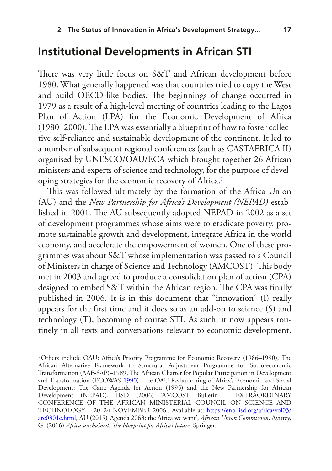#### **Institutional Developments in African STI**

There was very little focus on S&T and African development before 1980. What generally happened was that countries tried to copy the West and build OECD-like bodies. The beginnings of change occurred in 1979 as a result of a high-level meeting of countries leading to the Lagos Plan of Action (LPA) for the Economic Development of Africa (1980–2000). The LPA was essentially a blueprint of how to foster collective self-reliance and sustainable development of the continent. It led to a number of subsequent regional conferences (such as CASTAFRICA II) organised by UNESCO/OAU/ECA which brought together 26 African ministers and experts of science and technology, for the purpose of developing strategies for the economic recovery of Africa.[1](#page-6-0)

This was followed ultimately by the formation of the Africa Union (AU) and the *New Partnership for Africa's Development (NEPAD)* established in 2001. The AU subsequently adopted NEPAD in 2002 as a set of development programmes whose aims were to eradicate poverty, promote sustainable growth and development, integrate Africa in the world economy, and accelerate the empowerment of women. One of these programmes was about S&T whose implementation was passed to a Council of Ministers in charge of Science and Technology (AMCOST). This body met in 2003 and agreed to produce a consolidation plan of action (CPA) designed to embed S&T within the African region. The CPA was finally published in 2006. It is in this document that "innovation" (I) really appears for the first time and it does so as an add-on to science (S) and technology (T), becoming of course STI. As such, it now appears routinely in all texts and conversations relevant to economic development.

<span id="page-6-0"></span><sup>&</sup>lt;sup>1</sup>Others include OAU: Africa's Priority Programme for Economic Recovery (1986-1990), The African Alternative Framework to Structural Adjustment Programme for Socio-economic Transformation (AAF-SAP)–1989, The African Charter for Popular Participation in Development and Transformation (ECOWAS [1990\)](#page-18-6), The OAU Re-launching of Africa's Economic and Social Development: The Cairo Agenda for Action (1995) and the New Partnership for African Development (NEPAD), IISD (2006) 'AMCOST Bulletin – EXTRAORDINARY CONFERENCE OF THE AFRICAN MINISTERIAL COUNCIL ON SCIENCE AND TECHNOLOGY – 20–24 NOVEMBER 2006'. Available at: [https://enb.iisd.org/africa/vol03/](https://enb.iisd.org/africa/vol03/arc0301e.html) [arc0301e.html](https://enb.iisd.org/africa/vol03/arc0301e.html), AU (2015) 'Agenda 2063: the Africa we want', *African Union Commission*, Ayittey, G. (2016) *Africa unchained: The blueprint for Africa's future.* Springer.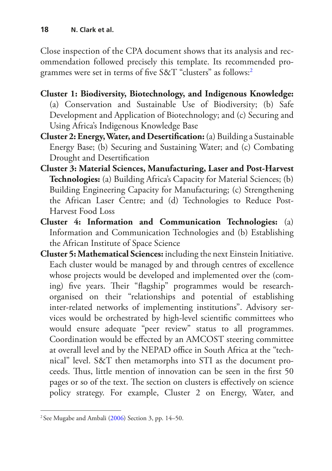Close inspection of the CPA document shows that its analysis and recommendation followed precisely this template. Its recommended programmes were set in terms of five S&T "clusters" as follows[:2](#page-7-0)

- **Cluster 1: Biodiversity, Biotechnology, and Indigenous Knowledge:** (a) Conservation and Sustainable Use of Biodiversity; (b) Safe Development and Application of Biotechnology; and (c) Securing and Using Africa's Indigenous Knowledge Base
- **Cluster 2: Energy, Water, and Desertification:** (a) Building a Sustainable Energy Base; (b) Securing and Sustaining Water; and (c) Combating Drought and Desertification
- **Cluster 3: Material Sciences, Manufacturing, Laser and Post-Harvest Technologies:** (a) Building Africa's Capacity for Material Sciences; (b) Building Engineering Capacity for Manufacturing; (c) Strengthening the African Laser Centre; and (d) Technologies to Reduce Post-Harvest Food Loss
- **Cluster 4: Information and Communication Technologies:** (a) Information and Communication Technologies and (b) Establishing the African Institute of Space Science
- **Cluster 5: Mathematical Sciences:** including the next Einstein Initiative. Each cluster would be managed by and through centres of excellence whose projects would be developed and implemented over the (coming) five years. Their "flagship" programmes would be researchorganised on their "relationships and potential of establishing inter-related networks of implementing institutions". Advisory services would be orchestrated by high-level scientific committees who would ensure adequate "peer review" status to all programmes. Coordination would be effected by an AMCOST steering committee at overall level and by the NEPAD office in South Africa at the "technical" level. S&T then metamorphs into STI as the document proceeds. Thus, little mention of innovation can be seen in the first 50 pages or so of the text. The section on clusters is effectively on science policy strategy. For example, Cluster 2 on Energy, Water, and

<span id="page-7-0"></span><sup>2</sup> See Mugabe and Ambali [\(2006](#page-19-9)) Section 3, pp. 14–50.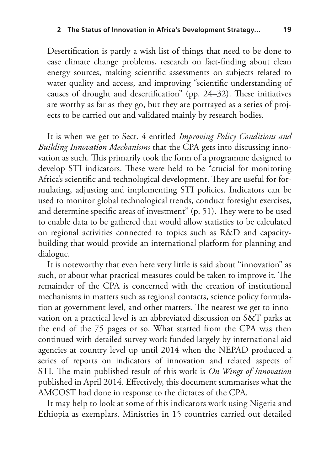Desertification is partly a wish list of things that need to be done to ease climate change problems, research on fact-finding about clean energy sources, making scientific assessments on subjects related to water quality and access, and improving "scientific understanding of causes of drought and desertification" (pp. 24–32). These initiatives are worthy as far as they go, but they are portrayed as a series of projects to be carried out and validated mainly by research bodies.

It is when we get to Sect. 4 entitled *Improving Policy Conditions and Building Innovation Mechanisms* that the CPA gets into discussing innovation as such. This primarily took the form of a programme designed to develop STI indicators. These were held to be "crucial for monitoring Africa's scientific and technological development. They are useful for formulating, adjusting and implementing STI policies. Indicators can be used to monitor global technological trends, conduct foresight exercises, and determine specific areas of investment" (p. 51). They were to be used to enable data to be gathered that would allow statistics to be calculated on regional activities connected to topics such as R&D and capacitybuilding that would provide an international platform for planning and dialogue.

It is noteworthy that even here very little is said about "innovation" as such, or about what practical measures could be taken to improve it. The remainder of the CPA is concerned with the creation of institutional mechanisms in matters such as regional contacts, science policy formulation at government level, and other matters. The nearest we get to innovation on a practical level is an abbreviated discussion on S&T parks at the end of the 75 pages or so. What started from the CPA was then continued with detailed survey work funded largely by international aid agencies at country level up until 2014 when the NEPAD produced a series of reports on indicators of innovation and related aspects of STI. The main published result of this work is *On Wings of Innovation* published in April 2014. Effectively, this document summarises what the AMCOST had done in response to the dictates of the CPA.

It may help to look at some of this indicators work using Nigeria and Ethiopia as exemplars. Ministries in 15 countries carried out detailed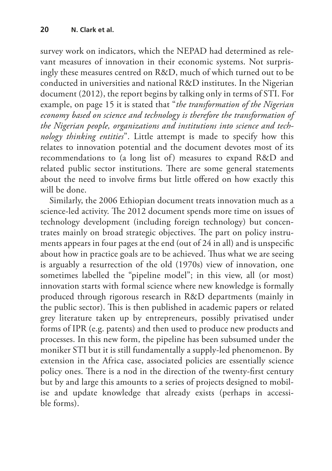survey work on indicators, which the NEPAD had determined as relevant measures of innovation in their economic systems. Not surprisingly these measures centred on R&D, much of which turned out to be conducted in universities and national R&D institutes. In the Nigerian document (2012), the report begins by talking only in terms of STI. For example, on page 15 it is stated that "*the transformation of the Nigerian economy based on science and technology is therefore the transformation of the Nigerian people, organizations and institutions into science and technology thinking entities*". Little attempt is made to specify how this relates to innovation potential and the document devotes most of its recommendations to (a long list of) measures to expand R&D and related public sector institutions. There are some general statements about the need to involve firms but little offered on how exactly this will be done.

Similarly, the 2006 Ethiopian document treats innovation much as a science-led activity. The 2012 document spends more time on issues of technology development (including foreign technology) but concentrates mainly on broad strategic objectives. The part on policy instruments appears in four pages at the end (out of 24 in all) and is unspecific about how in practice goals are to be achieved. Thus what we are seeing is arguably a resurrection of the old (1970s) view of innovation, one sometimes labelled the "pipeline model"; in this view, all (or most) innovation starts with formal science where new knowledge is formally produced through rigorous research in R&D departments (mainly in the public sector). This is then published in academic papers or related grey literature taken up by entrepreneurs, possibly privatised under forms of IPR (e.g. patents) and then used to produce new products and processes. In this new form, the pipeline has been subsumed under the moniker STI but it is still fundamentally a supply-led phenomenon. By extension in the Africa case, associated policies are essentially science policy ones. There is a nod in the direction of the twenty-first century but by and large this amounts to a series of projects designed to mobilise and update knowledge that already exists (perhaps in accessible forms).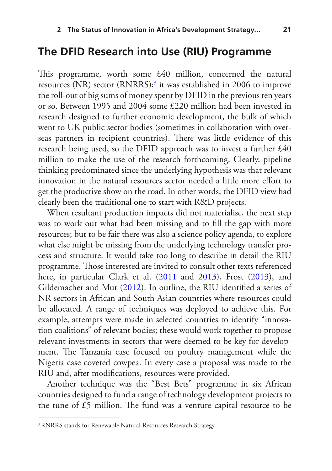#### **The DFID Research into Use (RIU) Programme**

This programme, worth some £40 million, concerned the natural resources (NR) sector (RNRRS);<sup>[3](#page-10-0)</sup> it was established in 2006 to improve the roll-out of big sums of money spent by DFID in the previous ten years or so. Between 1995 and 2004 some £220 million had been invested in research designed to further economic development, the bulk of which went to UK public sector bodies (sometimes in collaboration with overseas partners in recipient countries). There was little evidence of this research being used, so the DFID approach was to invest a further £40 million to make the use of the research forthcoming. Clearly, pipeline thinking predominated since the underlying hypothesis was that relevant innovation in the natural resources sector needed a little more effort to get the productive show on the road. In other words, the DFID view had clearly been the traditional one to start with R&D projects.

When resultant production impacts did not materialise, the next step was to work out what had been missing and to fill the gap with more resources; but to be fair there was also a science policy agenda, to explore what else might be missing from the underlying technology transfer process and structure. It would take too long to describe in detail the RIU programme. Those interested are invited to consult other texts referenced here, in particular Clark et al. ([2011](#page-18-7) and [2013\)](#page-18-8), Frost [\(2013](#page-18-9)), and Gildemacher and Mur [\(2012](#page-18-10)). In outline, the RIU identified a series of NR sectors in African and South Asian countries where resources could be allocated. A range of techniques was deployed to achieve this. For example, attempts were made in selected countries to identify "innovation coalitions" of relevant bodies; these would work together to propose relevant investments in sectors that were deemed to be key for development. The Tanzania case focused on poultry management while the Nigeria case covered cowpea. In every case a proposal was made to the RIU and, after modifications, resources were provided.

Another technique was the "Best Bets" programme in six African countries designed to fund a range of technology development projects to the tune of £5 million. The fund was a venture capital resource to be

<span id="page-10-0"></span><sup>&</sup>lt;sup>3</sup> RNRRS stands for Renewable Natural Resources Research Strategy.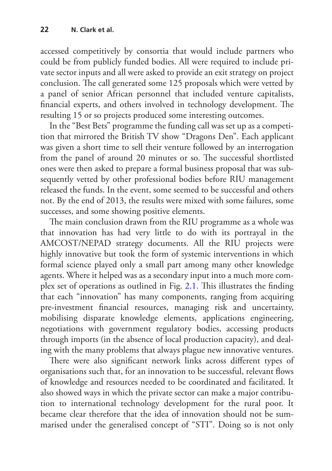accessed competitively by consortia that would include partners who could be from publicly funded bodies. All were required to include private sector inputs and all were asked to provide an exit strategy on project conclusion. The call generated some 125 proposals which were vetted by a panel of senior African personnel that included venture capitalists, financial experts, and others involved in technology development. The resulting 15 or so projects produced some interesting outcomes.

In the "Best Bets" programme the funding call was set up as a competition that mirrored the British TV show "Dragons Den". Each applicant was given a short time to sell their venture followed by an interrogation from the panel of around 20 minutes or so. The successful shortlisted ones were then asked to prepare a formal business proposal that was subsequently vetted by other professional bodies before RIU management released the funds. In the event, some seemed to be successful and others not. By the end of 2013, the results were mixed with some failures, some successes, and some showing positive elements.

The main conclusion drawn from the RIU programme as a whole was that innovation has had very little to do with its portrayal in the AMCOST/NEPAD strategy documents. All the RIU projects were highly innovative but took the form of systemic interventions in which formal science played only a small part among many other knowledge agents. Where it helped was as a secondary input into a much more complex set of operations as outlined in Fig. [2.1](#page-12-0). This illustrates the finding that each "innovation" has many components, ranging from acquiring pre-investment financial resources, managing risk and uncertainty, mobilising disparate knowledge elements, applications engineering, negotiations with government regulatory bodies, accessing products through imports (in the absence of local production capacity), and dealing with the many problems that always plague new innovative ventures.

There were also significant network links across different types of organisations such that, for an innovation to be successful, relevant flows of knowledge and resources needed to be coordinated and facilitated. It also showed ways in which the private sector can make a major contribution to international technology development for the rural poor. It became clear therefore that the idea of innovation should not be summarised under the generalised concept of "STI". Doing so is not only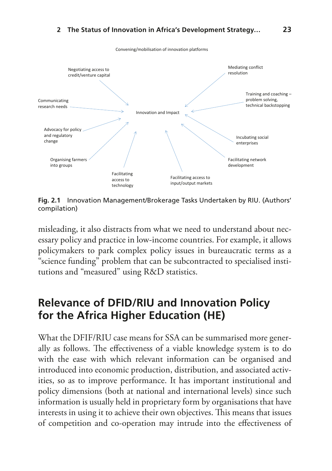<span id="page-12-0"></span>

**Fig. 2.1** Innovation Management/Brokerage Tasks Undertaken by RIU. (Authors' compilation)

misleading, it also distracts from what we need to understand about necessary policy and practice in low-income countries. For example, it allows policymakers to park complex policy issues in bureaucratic terms as a "science funding" problem that can be subcontracted to specialised institutions and "measured" using R&D statistics.

# **Relevance of DFID/RIU and Innovation Policy for the Africa Higher Education (HE)**

What the DFIF/RIU case means for SSA can be summarised more generally as follows. The effectiveness of a viable knowledge system is to do with the ease with which relevant information can be organised and introduced into economic production, distribution, and associated activities, so as to improve performance. It has important institutional and policy dimensions (both at national and international levels) since such information is usually held in proprietary form by organisations that have interests in using it to achieve their own objectives. This means that issues of competition and co-operation may intrude into the effectiveness of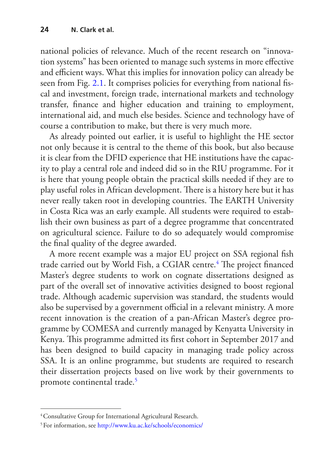national policies of relevance. Much of the recent research on "innovation systems" has been oriented to manage such systems in more effective and efficient ways. What this implies for innovation policy can already be seen from Fig. [2.1](#page-12-0). It comprises policies for everything from national fiscal and investment, foreign trade, international markets and technology transfer, finance and higher education and training to employment, international aid, and much else besides. Science and technology have of course a contribution to make, but there is very much more.

As already pointed out earlier, it is useful to highlight the HE sector not only because it is central to the theme of this book, but also because it is clear from the DFID experience that HE institutions have the capacity to play a central role and indeed did so in the RIU programme. For it is here that young people obtain the practical skills needed if they are to play useful roles in African development. There is a history here but it has never really taken root in developing countries. The EARTH University in Costa Rica was an early example. All students were required to establish their own business as part of a degree programme that concentrated on agricultural science. Failure to do so adequately would compromise the final quality of the degree awarded.

A more recent example was a major EU project on SSA regional fish trade carried out by World Fish, a CGIAR centre.<sup>4</sup> The project financed Master's degree students to work on cognate dissertations designed as part of the overall set of innovative activities designed to boost regional trade. Although academic supervision was standard, the students would also be supervised by a government official in a relevant ministry. A more recent innovation is the creation of a pan-African Master's degree programme by COMESA and currently managed by Kenyatta University in Kenya. This programme admitted its first cohort in September 2017 and has been designed to build capacity in managing trade policy across SSA. It is an online programme, but students are required to research their dissertation projects based on live work by their governments to promote continental trade.<sup>5</sup>

<span id="page-13-0"></span><sup>4</sup>Consultative Group for International Agricultural Research.

<span id="page-13-1"></span><sup>5</sup>For information, see<http://www.ku.ac.ke/schools/economics/>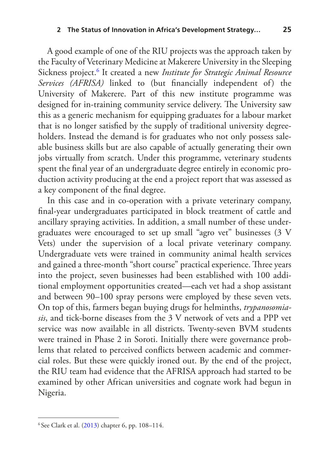A good example of one of the RIU projects was the approach taken by the Faculty of Veterinary Medicine at Makerere University in the Sleeping Sickness project.[6](#page-14-0) It created a new *Institute for Strategic Animal Resource Services (AFRISA)* linked to (but financially independent of) the University of Makerere. Part of this new institute programme was designed for in-training community service delivery. The University saw this as a generic mechanism for equipping graduates for a labour market that is no longer satisfied by the supply of traditional university degreeholders. Instead the demand is for graduates who not only possess saleable business skills but are also capable of actually generating their own jobs virtually from scratch. Under this programme, veterinary students spent the final year of an undergraduate degree entirely in economic production activity producing at the end a project report that was assessed as a key component of the final degree.

In this case and in co-operation with a private veterinary company, final-year undergraduates participated in block treatment of cattle and ancillary spraying activities. In addition, a small number of these undergraduates were encouraged to set up small "agro vet" businesses (3 V Vets) under the supervision of a local private veterinary company. Undergraduate vets were trained in community animal health services and gained a three-month "short course" practical experience. Three years into the project, seven businesses had been established with 100 additional employment opportunities created—each vet had a shop assistant and between 90–100 spray persons were employed by these seven vets. On top of this, farmers began buying drugs for helminths, *trypanosomiasis*, and tick-borne diseases from the 3 V network of vets and a PPP vet service was now available in all districts. Twenty-seven BVM students were trained in Phase 2 in Soroti. Initially there were governance problems that related to perceived conflicts between academic and commercial roles. But these were quickly ironed out. By the end of the project, the RIU team had evidence that the AFRISA approach had started to be examined by other African universities and cognate work had begun in Nigeria.

<span id="page-14-0"></span> $6$  See Clark et al. ([2013\)](#page-18-8) chapter 6, pp. 108-114.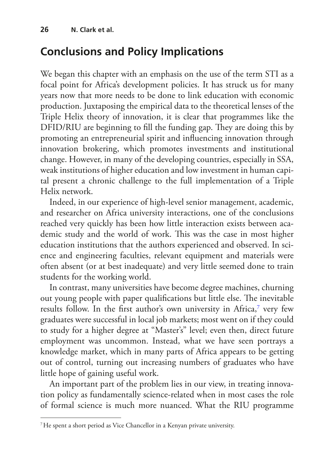# **Conclusions and Policy Implications**

We began this chapter with an emphasis on the use of the term STI as a focal point for Africa's development policies. It has struck us for many years now that more needs to be done to link education with economic production. Juxtaposing the empirical data to the theoretical lenses of the Triple Helix theory of innovation, it is clear that programmes like the DFID/RIU are beginning to fill the funding gap. They are doing this by promoting an entrepreneurial spirit and influencing innovation through innovation brokering, which promotes investments and institutional change. However, in many of the developing countries, especially in SSA, weak institutions of higher education and low investment in human capital present a chronic challenge to the full implementation of a Triple Helix network.

Indeed, in our experience of high-level senior management, academic, and researcher on Africa university interactions, one of the conclusions reached very quickly has been how little interaction exists between academic study and the world of work. This was the case in most higher education institutions that the authors experienced and observed. In science and engineering faculties, relevant equipment and materials were often absent (or at best inadequate) and very little seemed done to train students for the working world.

In contrast, many universities have become degree machines, churning out young people with paper qualifications but little else. The inevitable results follow. In the first author's own university in Africa,<sup>[7](#page-15-0)</sup> very few graduates were successful in local job markets; most went on if they could to study for a higher degree at "Master's" level; even then, direct future employment was uncommon. Instead, what we have seen portrays a knowledge market, which in many parts of Africa appears to be getting out of control, turning out increasing numbers of graduates who have little hope of gaining useful work.

An important part of the problem lies in our view, in treating innovation policy as fundamentally science-related when in most cases the role of formal science is much more nuanced. What the RIU programme

<span id="page-15-0"></span><sup>7</sup>He spent a short period as Vice Chancellor in a Kenyan private university.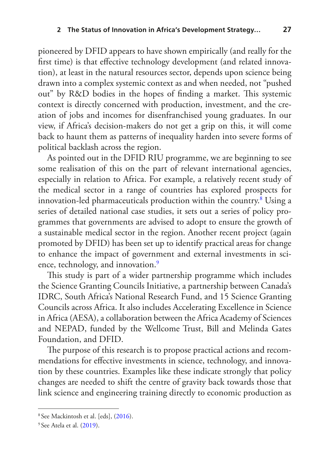pioneered by DFID appears to have shown empirically (and really for the first time) is that effective technology development (and related innovation), at least in the natural resources sector, depends upon science being drawn into a complex systemic context as and when needed, not "pushed out" by R&D bodies in the hopes of finding a market. This systemic context is directly concerned with production, investment, and the creation of jobs and incomes for disenfranchised young graduates. In our view, if Africa's decision-makers do not get a grip on this, it will come back to haunt them as patterns of inequality harden into severe forms of political backlash across the region.

As pointed out in the DFID RIU programme, we are beginning to see some realisation of this on the part of relevant international agencies, especially in relation to Africa. For example, a relatively recent study of the medical sector in a range of countries has explored prospects for innovation-led pharmaceuticals production within the country[.8](#page-16-0) Using a series of detailed national case studies, it sets out a series of policy programmes that governments are advised to adopt to ensure the growth of a sustainable medical sector in the region. Another recent project (again promoted by DFID) has been set up to identify practical areas for change to enhance the impact of government and external investments in sci-ence, technology, and innovation.<sup>[9](#page-16-1)</sup>

This study is part of a wider partnership programme which includes the Science Granting Councils Initiative, a partnership between Canada's IDRC, South Africa's National Research Fund, and 15 Science Granting Councils across Africa. It also includes Accelerating Excellence in Science in Africa (AESA), a collaboration between the Africa Academy of Sciences and NEPAD, funded by the Wellcome Trust, Bill and Melinda Gates Foundation, and DFID.

The purpose of this research is to propose practical actions and recommendations for effective investments in science, technology, and innovation by these countries. Examples like these indicate strongly that policy changes are needed to shift the centre of gravity back towards those that link science and engineering training directly to economic production as

<span id="page-16-0"></span><sup>8</sup> See Mackintosh et al. [eds], ([2016\)](#page-19-10).

<span id="page-16-1"></span><sup>&</sup>lt;sup>9</sup> See Atela et al. [\(2019](#page-17-5)).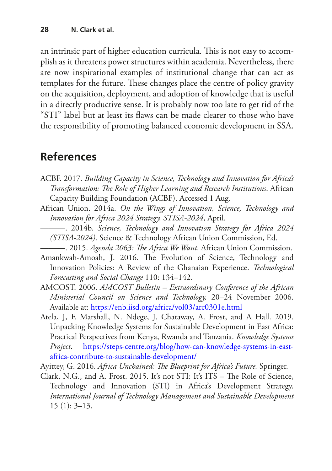an intrinsic part of higher education curricula. This is not easy to accomplish as it threatens power structures within academia. Nevertheless, there are now inspirational examples of institutional change that can act as templates for the future. These changes place the centre of policy gravity on the acquisition, deployment, and adoption of knowledge that is useful in a directly productive sense. It is probably now too late to get rid of the "STI" label but at least its flaws can be made clearer to those who have the responsibility of promoting balanced economic development in SSA.

# **References**

- <span id="page-17-4"></span>ACBF. 2017. *Building Capacity in Science, Technology and Innovation for Africa's Transformation: The Role of Higher Learning and Research Institutions*. African Capacity Building Foundation (ACBF). Accessed 1 Aug.
- <span id="page-17-3"></span>African Union. 2014a. *On the Wings of Innovation, Science, Technology and Innovation for Africa 2024 Strategy, STISA-2024*, April.
- <span id="page-17-2"></span>———. 2014b. *Science, Technology and Innovation Strategy for Africa 2024 (STISA-2024)*. Science & Technology African Union Commission, Ed.
	- ———. 2015. *Agenda 2063: The Africa We Want*. African Union Commission.
- <span id="page-17-1"></span>Amankwah-Amoah, J. 2016. The Evolution of Science, Technology and Innovation Policies: A Review of the Ghanaian Experience. *Technological Forecasting and Social Change* 110: 134–142.
- AMCOST. 2006. *AMCOST Bulletin Extraordinary Conference of the African Ministerial Council on Science and Technology,* 20–24 November 2006. Available at: <https://enb.iisd.org/africa/vol03/arc0301e.html>
- <span id="page-17-5"></span>Atela, J, F. Marshall, N. Ndege, J. Chataway, A. Frost, and A Hall. 2019. Unpacking Knowledge Systems for Sustainable Development in East Africa: Practical Perspectives from Kenya, Rwanda and Tanzania. *Knowledge Systems Project*. [https://steps-centre.org/blog/how-can-knowledge-systems-in-east](https://steps-centre.org/blog/how-can-knowledge-systems-in-east-africa-contribute-to-sustainable-development/)[africa-contribute-to-sustainable-development/](https://steps-centre.org/blog/how-can-knowledge-systems-in-east-africa-contribute-to-sustainable-development/)
- Ayittey, G. 2016. *Africa Unchained: The Blueprint for Africa's Future.* Springer.
- <span id="page-17-0"></span>Clark, N.G., and A. Frost. 2015. It's not STI: It's ITS – The Role of Science, Technology and Innovation (STI) in Africa's Development Strategy. *International Journal of Technology Management and Sustainable Development* 15 (1): 3–13.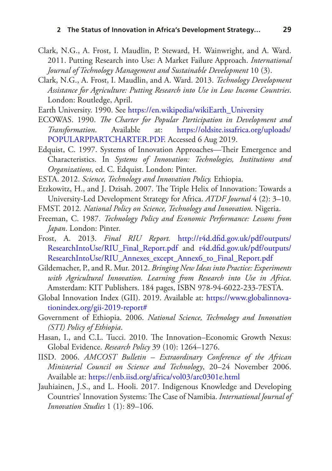- <span id="page-18-7"></span>Clark, N.G., A. Frost, I. Maudlin, P. Steward, H. Wainwright, and A. Ward. 2011. Putting Research into Use: A Market Failure Approach. *International Journal of Technology Management and Sustainable Development* 10 (3).
- <span id="page-18-8"></span>Clark, N.G., A. Frost, I. Maudlin, and A. Ward. 2013. *Technology Development Assistance for Agriculture: Putting Research into Use in Low Income Countries*. London: Routledge, April.
- Earth University. 1990. See [https://en.wikipedia/wikiEarth\\_University](https://en.wikipedia/wikiEarth_University)
- <span id="page-18-6"></span>ECOWAS. 1990. *The Charter for Popular Participation in Development and Transformation*. Available at: [https://oldsite.issafrica.org/uploads/](https://oldsite.issafrica.org/uploads/POPULARPPARTCHARTER.PDF) [POPULARPPARTCHARTER.PDF.](https://oldsite.issafrica.org/uploads/POPULARPPARTCHARTER.PDF) Accessed 6 Aug 2019.

<span id="page-18-1"></span>Edquist, C. 1997. Systems of Innovation Approaches—Their Emergence and Characteristics. In *Systems of Innovation: Technologies, Institutions and Organizations*, ed. C. Edquist. London: Pinter.

- ESTA. 2012. *Science, Technology and Innovation Policy.* Ethiopia.
- <span id="page-18-4"></span>Etzkowitz, H., and J. Dzisah. 2007. The Triple Helix of Innovation: Towards a University-Led Development Strategy for Africa. *ATDF Journal* 4 (2): 3–10.
- FMST. 2012*. National Policy on Science, Technology and Innovation.* Nigeria.
- <span id="page-18-0"></span>Freeman, C. 1987. *Technology Policy and Economic Performance: Lessons from Japan*. London: Pinter.
- <span id="page-18-9"></span>Frost, A. 2013. *Final RIU Report.* [http://r4d.dfid.gov.uk/pdf/outputs/](http://r4d.dfid.gov.uk/pdf/outputs/ResearchIntoUse/RIU_Final_Report.pdf) [ResearchIntoUse/RIU\\_Final\\_Report.pdf](http://r4d.dfid.gov.uk/pdf/outputs/ResearchIntoUse/RIU_Final_Report.pdf) and [r4d.dfid.gov.uk/pdf/outputs/](http://r4d.dfid.gov.uk/pdf/outputs/ResearchIntoUse/RIU_Annexes_except_Annex6_to_Final_Report.pdf) [ResearchIntoUse/RIU\\_Annexes\\_except\\_Annex6\\_to\\_Final\\_Report.pdf](http://r4d.dfid.gov.uk/pdf/outputs/ResearchIntoUse/RIU_Annexes_except_Annex6_to_Final_Report.pdf)
- <span id="page-18-10"></span>Gildemacher, P., and R. Mur. 2012. *Bringing New Ideas into Practice: Experiments with Agricultural Innovation. Learning from Research into Use in Africa*. Amsterdam: KIT Publishers. 184 pages, ISBN 978-94-6022-233-7ESTA.
- <span id="page-18-5"></span>Global Innovation Index (GII). 2019. Available at: [https://www.globalinnova](https://www.globalinnovationindex.org/gii-2019-report)[tionindex.org/gii-2019-report#](https://www.globalinnovationindex.org/gii-2019-report)
- Government of Ethiopia. 2006. *National Science, Technology and Innovation (STI) Policy of Ethiopia*.
- <span id="page-18-2"></span>Hasan, I., and C.L. Tucci. 2010. The Innovation–Economic Growth Nexus: Global Evidence. *Research Policy* 39 (10): 1264–1276.
- IISD. 2006. *AMCOST Bulletin Extraordinary Conference of the African Ministerial Council on Science and Technology*, 20–24 November 2006. Available at: <https://enb.iisd.org/africa/vol03/arc0301e.html>
- <span id="page-18-3"></span>Jauhiainen, J.S., and L. Hooli. 2017. Indigenous Knowledge and Developing Countries' Innovation Systems: The Case of Namibia. *International Journal of Innovation Studies* 1 (1): 89–106.